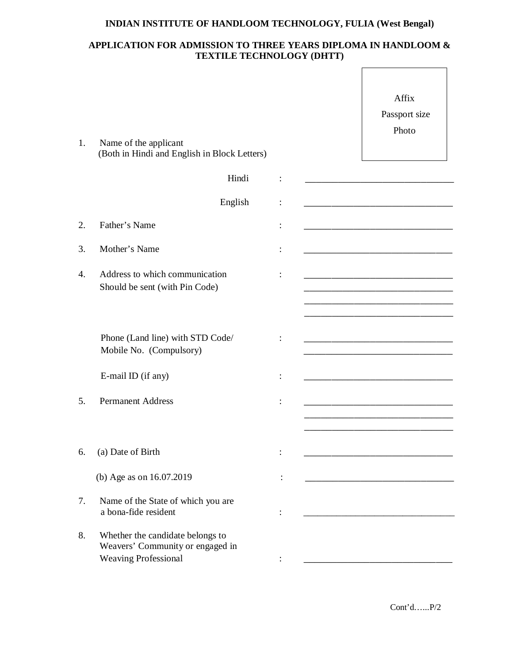## **INDIAN INSTITUTE OF HANDLOOM TECHNOLOGY, FULIA (West Bengal)**

## **APPLICATION FOR ADMISSION TO THREE YEARS DIPLOMA IN HANDLOOM & TEXTILE TECHNOLOGY (DHTT)**

| 1. | Name of the applicant<br>(Both in Hindi and English in Block Letters)                               | Affix<br>Passport size<br>Photo                                                                                        |
|----|-----------------------------------------------------------------------------------------------------|------------------------------------------------------------------------------------------------------------------------|
|    | Hindi                                                                                               | <u> 1980 - Johann John Stone, mars eta biztanleria (h. 1905).</u>                                                      |
|    | English                                                                                             |                                                                                                                        |
| 2. | Father's Name                                                                                       |                                                                                                                        |
| 3. | Mother's Name                                                                                       | <u> 1989 - Johann Harry Harry Harry Harry Harry Harry Harry Harry Harry Harry Harry Harry Harry Harry Harry Harry</u>  |
| 4. | Address to which communication<br>Should be sent (with Pin Code)                                    | <u> 1980 - Johann John Harry Harry Harry Harry Harry Harry Harry Harry Harry Harry Harry Harry Harry Harry Harry H</u> |
|    | Phone (Land line) with STD Code/<br>Mobile No. (Compulsory)                                         |                                                                                                                        |
|    | E-mail ID (if any)                                                                                  | <u> 1989 - Johann Harry Harry Harry Harry Harry Harry Harry Harry Harry Harry Harry Harry Harry Harry Harry Harry</u>  |
| 5. | <b>Permanent Address</b>                                                                            |                                                                                                                        |
| 6. | (a) Date of Birth                                                                                   |                                                                                                                        |
|    | (b) Age as on 16.07.2019                                                                            | <u> 1980 - Johann Barbara, martin basal da</u>                                                                         |
| 7. | Name of the State of which you are<br>a bona-fide resident                                          |                                                                                                                        |
| 8. | Whether the candidate belongs to<br>Weavers' Community or engaged in<br><b>Weaving Professional</b> |                                                                                                                        |

Cont'd…...P/2

 $\overline{\phantom{a}}$